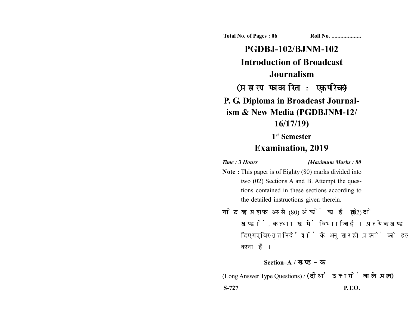**Total No. of Pages : 06 Roll No. ...................** 

# **PGDBJ-102/BJNM-102 Introduction of Broadcast Journalism** (प्रसारण पत्रकारिता : एक परिचय) **P. G. Diploma in Broadcast Journalism & New Media (PGDBJNM-12/ 16/17/19) 1st Semester**

## **Examination, 2019**

#### *Time :* **3** *Hours [Maximum Marks : 80*

- **Note :** This paper is of Eighty (80) marks divided into two (02) Sections A and B. Attempt the questions contained in these sections according to the detailed instructions given therein.
- नोट: यह प्रश्नपत्र अस्सी (80) अंकों का है जो दो (02) खण्डों, क तथा ख में विभाजित है। प्रत्येक खण्ड में दिए गए विस्तृत निर्देशों के अनुसार ही प्रश्नों को हल करना है।

### **Section–A /**

(Long Answer Type Questions) / **S-727 P.T.O.**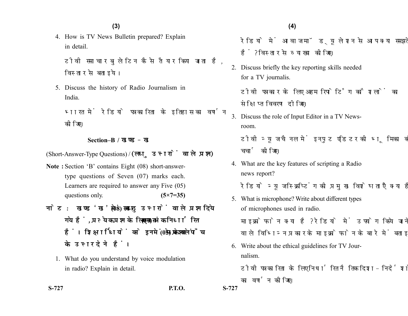**(4)(3)**

4. How is TV News Bulletin prepared? Explain in detail.

टीवी समाचार बलेटिन कैसे तैयार किया जाता है. विस्तार से बताइये।

5. Discuss the history of Radio Journalism in India.

भारत में रेडियो पत्रकारिता के इतिहास का वर्णन कोजिए।

#### **Section–B /**

(Short-Answer-Type Questions) /

- **Note :** Section 'B' contains Eight (08) short-answertype questions of Seven (07) marks each. Learners are required to answer any Five (05) questions only. **(5×7=35)**
- नोट: खण्ड 'ख' में आठ (08) लघु उत्तरों वाले प्रश्न दिये गये हैं, प्रत्येक प्रश्न के लिए सात (07) अंक निर्धारित हैं। शिक्षार्थियों को इनमें से केवल पाँच (05) प्रश्नों के उत्तर देने हैं।
	- 1. What do you understand by voice modulation in radio? Explain in detail.

**S-727 P.T.O. S-727**

रेडियो में आवाज मॉड्युलेशन से आप क्या समझते हैं? विस्तार से व्याख्या कोजिए।

2. Discuss briefly the key reporting skills needed for a TV journalis.

टीवी पत्रकार के लिए अहम रिपोर्टिंग कौशलों का संक्षिप्त विवरण दीजिए।

3. Discuss the role of Input Editor in a TV Newsroom.

टीवी न्यूज चैनल में इनपुट एडिटर की भूमिका की चर्चा कीजिए।

4. What are the key features of scripting a Radio news report?

रेडियो न्यूज स्क्रिप्टिंग की प्रमुख विशेषताएँ क्या हैं?

5. What is microphone? Write about different types of microphones used in radio.

माइक्रोफोन क्या है? रेडियो में उपयोग किये जाने वाले विभिन्न प्रकार के माइक्रोफोन के बारे में बताइये।

- 6. Write about the ethical guidelines for TV Journalism.
	- टीवी पत्रकारिता के लिए निर्धारित नैतिक दिशा-निर्देशों का वर्णन कोजिए।